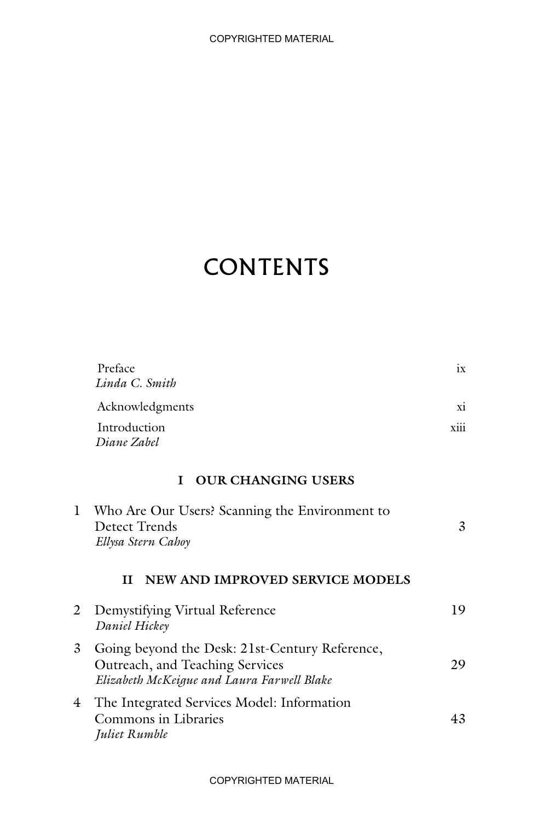## **CONTENTS**

|   | Preface<br>Linda C. Smith                                                                                                       | ix   |
|---|---------------------------------------------------------------------------------------------------------------------------------|------|
|   | Acknowledgments                                                                                                                 | xi   |
|   | Introduction<br>Diane Zahel                                                                                                     | xiii |
|   | <b>OUR CHANGING USERS</b><br>T                                                                                                  |      |
| 1 | Who Are Our Users? Scanning the Environment to<br>Detect Trends<br>Ellysa Stern Cahoy                                           | 3    |
|   | NEW AND IMPROVED SERVICE MODELS<br>H                                                                                            |      |
| 2 | Demystifying Virtual Reference<br>Daniel Hickey                                                                                 | 19   |
| 3 | Going beyond the Desk: 21st-Century Reference,<br>Outreach, and Teaching Services<br>Elizabeth McKeigue and Laura Farwell Blake | 29   |
| 4 | The Integrated Services Model: Information<br>Commons in Libraries<br>Juliet Rumble                                             | 43   |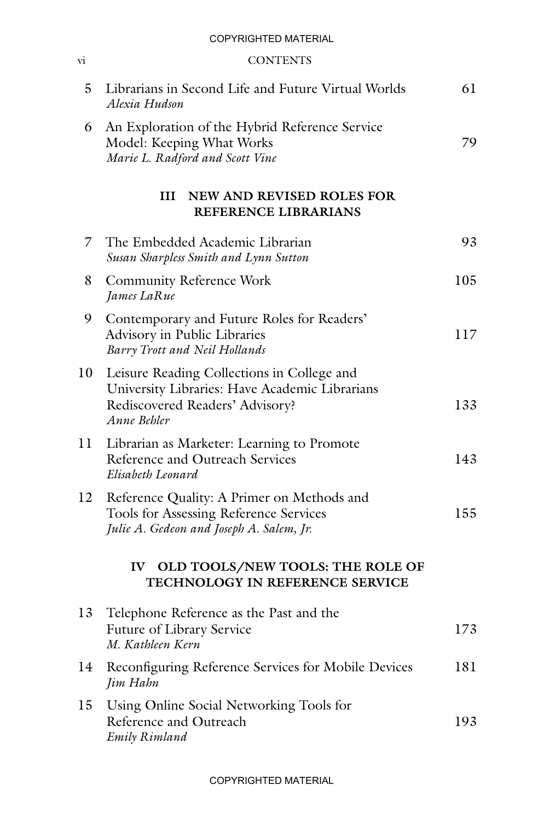## COPYRIGHTED MATERIAL

## vi CONTENTS

| 5  | Librarians in Second Life and Future Virtual Worlds<br>Alexia Hudson                                                                           | 61  |
|----|------------------------------------------------------------------------------------------------------------------------------------------------|-----|
| 6  | An Exploration of the Hybrid Reference Service<br>Model: Keeping What Works<br>Marie L. Radford and Scott Vine                                 | 79  |
|    | NEW AND REVISED ROLES FOR<br>Ш<br>REFERENCE LIBRARIANS                                                                                         |     |
| 7  | The Embedded Academic Librarian<br>Susan Sharpless Smith and Lynn Sutton                                                                       | 93  |
| 8  | <b>Community Reference Work</b><br>James LaRue                                                                                                 | 105 |
| 9  | Contemporary and Future Roles for Readers'<br>Advisory in Public Libraries<br>Barry Trott and Neil Hollands                                    | 117 |
| 10 | Leisure Reading Collections in College and<br>University Libraries: Have Academic Librarians<br>Rediscovered Readers' Advisory?<br>Anne Behler | 133 |
| 11 | Librarian as Marketer: Learning to Promote<br>Reference and Outreach Services<br>Elisabeth Leonard                                             | 143 |
| 12 | Reference Quality: A Primer on Methods and<br>Tools for Assessing Reference Services<br>Julie A. Gedeon and Joseph A. Salem, Jr.               | 155 |
|    | OLD TOOLS/NEW TOOLS: THE ROLE OF<br>$\mathbf{IV}$<br>TECHNOLOGY IN REFERENCE SERVICE                                                           |     |
| 13 | Telephone Reference as the Past and the<br>Future of Library Service<br>M. Kathleen Kern                                                       | 173 |
| 14 | Reconfiguring Reference Services for Mobile Devices<br>Jim Hahn                                                                                | 181 |
| 15 | Using Online Social Networking Tools for<br>Reference and Outreach<br><b>Emily Rimland</b>                                                     | 193 |